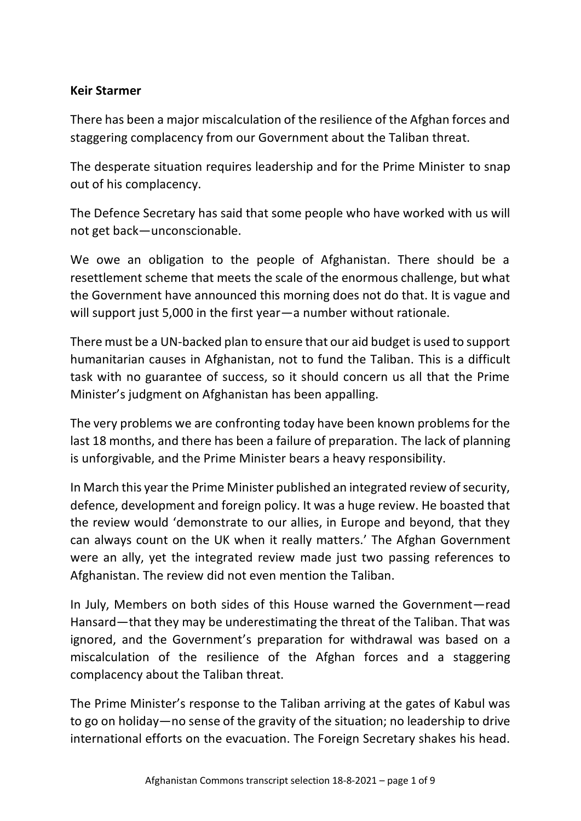#### **Keir Starmer**

There has been a major miscalculation of the resilience of the Afghan forces and staggering complacency from our Government about the Taliban threat.

The desperate situation requires leadership and for the Prime Minister to snap out of his complacency.

The Defence Secretary has said that some people who have worked with us will not get back—unconscionable.

We owe an obligation to the people of Afghanistan. There should be a resettlement scheme that meets the scale of the enormous challenge, but what the Government have announced this morning does not do that. It is vague and will support just 5,000 in the first year—a number without rationale.

There must be a UN-backed plan to ensure that our aid budget is used to support humanitarian causes in Afghanistan, not to fund the Taliban. This is a difficult task with no guarantee of success, so it should concern us all that the Prime Minister's judgment on Afghanistan has been appalling.

The very problems we are confronting today have been known problems for the last 18 months, and there has been a failure of preparation. The lack of planning is unforgivable, and the Prime Minister bears a heavy responsibility.

In March this year the Prime Minister published an integrated review of security, defence, development and foreign policy. It was a huge review. He boasted that the review would 'demonstrate to our allies, in Europe and beyond, that they can always count on the UK when it really matters.' The Afghan Government were an ally, yet the integrated review made just two passing references to Afghanistan. The review did not even mention the Taliban.

In July, Members on both sides of this House warned the Government—read Hansard—that they may be underestimating the threat of the Taliban. That was ignored, and the Government's preparation for withdrawal was based on a miscalculation of the resilience of the Afghan forces and a staggering complacency about the Taliban threat.

The Prime Minister's response to the Taliban arriving at the gates of Kabul was to go on holiday—no sense of the gravity of the situation; no leadership to drive international efforts on the evacuation. The Foreign Secretary shakes his head.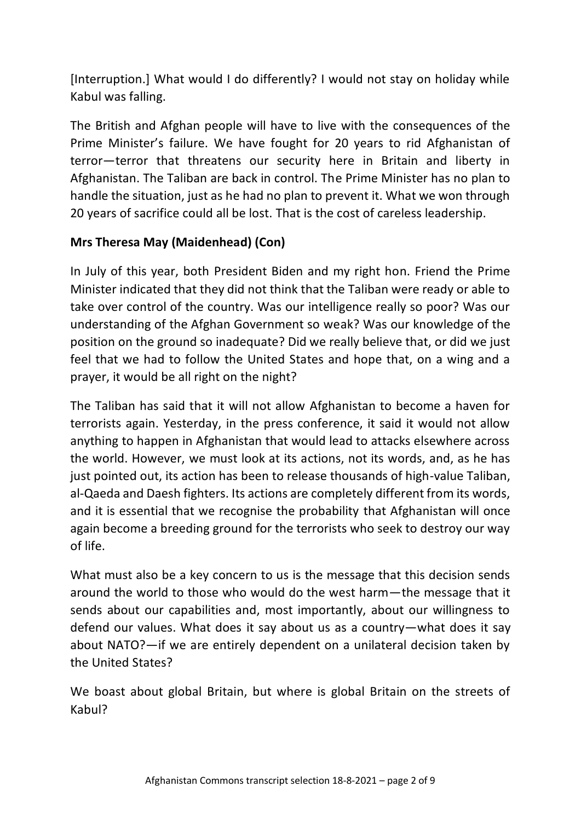[Interruption.] What would I do differently? I would not stay on holiday while Kabul was falling.

The British and Afghan people will have to live with the consequences of the Prime Minister's failure. We have fought for 20 years to rid Afghanistan of terror—terror that threatens our security here in Britain and liberty in Afghanistan. The Taliban are back in control. The Prime Minister has no plan to handle the situation, just as he had no plan to prevent it. What we won through 20 years of sacrifice could all be lost. That is the cost of careless leadership.

### **Mrs Theresa May (Maidenhead) (Con)**

In July of this year, both President Biden and my right hon. Friend the Prime Minister indicated that they did not think that the Taliban were ready or able to take over control of the country. Was our intelligence really so poor? Was our understanding of the Afghan Government so weak? Was our knowledge of the position on the ground so inadequate? Did we really believe that, or did we just feel that we had to follow the United States and hope that, on a wing and a prayer, it would be all right on the night?

The Taliban has said that it will not allow Afghanistan to become a haven for terrorists again. Yesterday, in the press conference, it said it would not allow anything to happen in Afghanistan that would lead to attacks elsewhere across the world. However, we must look at its actions, not its words, and, as he has just pointed out, its action has been to release thousands of high-value Taliban, al-Qaeda and Daesh fighters. Its actions are completely different from its words, and it is essential that we recognise the probability that Afghanistan will once again become a breeding ground for the terrorists who seek to destroy our way of life.

What must also be a key concern to us is the message that this decision sends around the world to those who would do the west harm—the message that it sends about our capabilities and, most importantly, about our willingness to defend our values. What does it say about us as a country—what does it say about NATO?—if we are entirely dependent on a unilateral decision taken by the United States?

We boast about global Britain, but where is global Britain on the streets of Kabul?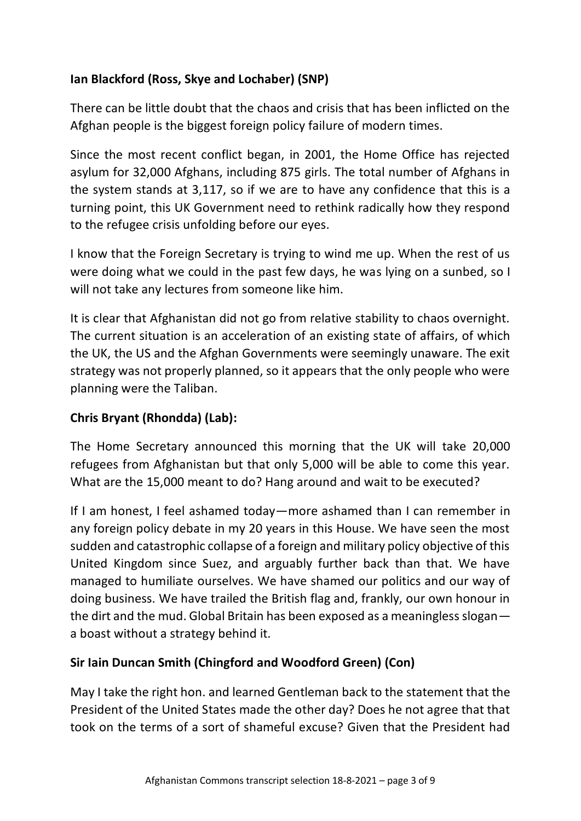# **Ian Blackford (Ross, Skye and Lochaber) (SNP)**

There can be little doubt that the chaos and crisis that has been inflicted on the Afghan people is the biggest foreign policy failure of modern times.

Since the most recent conflict began, in 2001, the Home Office has rejected asylum for 32,000 Afghans, including 875 girls. The total number of Afghans in the system stands at 3,117, so if we are to have any confidence that this is a turning point, this UK Government need to rethink radically how they respond to the refugee crisis unfolding before our eyes.

I know that the Foreign Secretary is trying to wind me up. When the rest of us were doing what we could in the past few days, he was lying on a sunbed, so I will not take any lectures from someone like him.

It is clear that Afghanistan did not go from relative stability to chaos overnight. The current situation is an acceleration of an existing state of affairs, of which the UK, the US and the Afghan Governments were seemingly unaware. The exit strategy was not properly planned, so it appears that the only people who were planning were the Taliban.

### **Chris Bryant (Rhondda) (Lab):**

The Home Secretary announced this morning that the UK will take 20,000 refugees from Afghanistan but that only 5,000 will be able to come this year. What are the 15,000 meant to do? Hang around and wait to be executed?

If I am honest, I feel ashamed today—more ashamed than I can remember in any foreign policy debate in my 20 years in this House. We have seen the most sudden and catastrophic collapse of a foreign and military policy objective of this United Kingdom since Suez, and arguably further back than that. We have managed to humiliate ourselves. We have shamed our politics and our way of doing business. We have trailed the British flag and, frankly, our own honour in the dirt and the mud. Global Britain has been exposed as a meaningless slogan a boast without a strategy behind it.

### **Sir Iain Duncan Smith (Chingford and Woodford Green) (Con)**

May I take the right hon. and learned Gentleman back to the statement that the President of the United States made the other day? Does he not agree that that took on the terms of a sort of shameful excuse? Given that the President had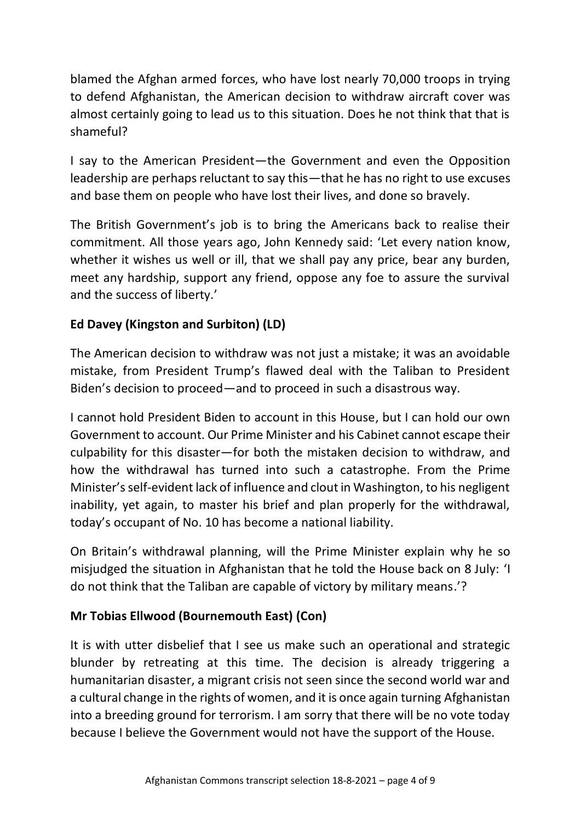blamed the Afghan armed forces, who have lost nearly 70,000 troops in trying to defend Afghanistan, the American decision to withdraw aircraft cover was almost certainly going to lead us to this situation. Does he not think that that is shameful?

I say to the American President—the Government and even the Opposition leadership are perhaps reluctant to say this—that he has no right to use excuses and base them on people who have lost their lives, and done so bravely.

The British Government's job is to bring the Americans back to realise their commitment. All those years ago, John Kennedy said: 'Let every nation know, whether it wishes us well or ill, that we shall pay any price, bear any burden, meet any hardship, support any friend, oppose any foe to assure the survival and the success of liberty.'

### **Ed Davey (Kingston and Surbiton) (LD)**

The American decision to withdraw was not just a mistake; it was an avoidable mistake, from President Trump's flawed deal with the Taliban to President Biden's decision to proceed—and to proceed in such a disastrous way.

I cannot hold President Biden to account in this House, but I can hold our own Government to account. Our Prime Minister and his Cabinet cannot escape their culpability for this disaster—for both the mistaken decision to withdraw, and how the withdrawal has turned into such a catastrophe. From the Prime Minister's self-evident lack of influence and clout in Washington, to his negligent inability, yet again, to master his brief and plan properly for the withdrawal, today's occupant of No. 10 has become a national liability.

On Britain's withdrawal planning, will the Prime Minister explain why he so misjudged the situation in Afghanistan that he told the House back on 8 July: 'I do not think that the Taliban are capable of victory by military means.'?

#### **Mr Tobias Ellwood (Bournemouth East) (Con)**

It is with utter disbelief that I see us make such an operational and strategic blunder by retreating at this time. The decision is already triggering a humanitarian disaster, a migrant crisis not seen since the second world war and a cultural change in the rights of women, and it is once again turning Afghanistan into a breeding ground for terrorism. I am sorry that there will be no vote today because I believe the Government would not have the support of the House.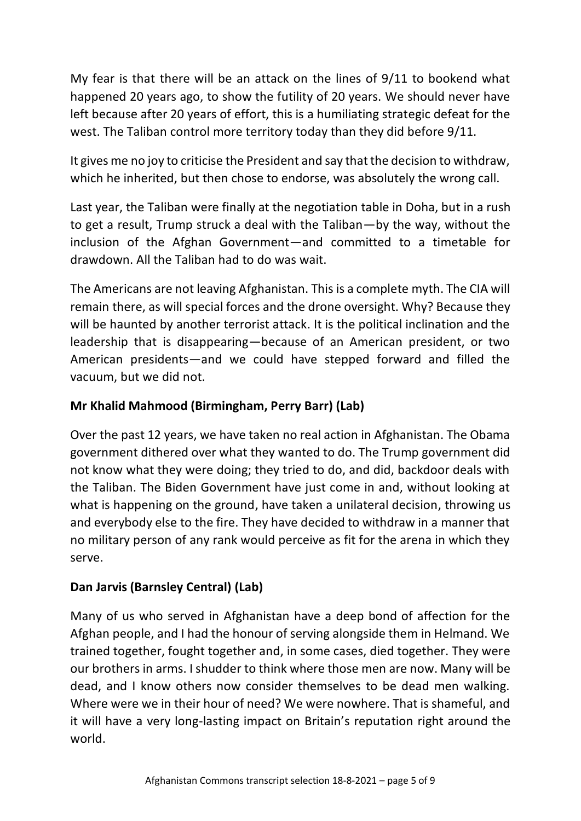My fear is that there will be an attack on the lines of 9/11 to bookend what happened 20 years ago, to show the futility of 20 years. We should never have left because after 20 years of effort, this is a humiliating strategic defeat for the west. The Taliban control more territory today than they did before 9/11.

It gives me no joy to criticise the President and say that the decision to withdraw, which he inherited, but then chose to endorse, was absolutely the wrong call.

Last year, the Taliban were finally at the negotiation table in Doha, but in a rush to get a result, Trump struck a deal with the Taliban—by the way, without the inclusion of the Afghan Government—and committed to a timetable for drawdown. All the Taliban had to do was wait.

The Americans are not leaving Afghanistan. This is a complete myth. The CIA will remain there, as will special forces and the drone oversight. Why? Because they will be haunted by another terrorist attack. It is the political inclination and the leadership that is disappearing—because of an American president, or two American presidents—and we could have stepped forward and filled the vacuum, but we did not.

## **Mr Khalid Mahmood (Birmingham, Perry Barr) (Lab)**

Over the past 12 years, we have taken no real action in Afghanistan. The Obama government dithered over what they wanted to do. The Trump government did not know what they were doing; they tried to do, and did, backdoor deals with the Taliban. The Biden Government have just come in and, without looking at what is happening on the ground, have taken a unilateral decision, throwing us and everybody else to the fire. They have decided to withdraw in a manner that no military person of any rank would perceive as fit for the arena in which they serve.

### **Dan Jarvis (Barnsley Central) (Lab)**

Many of us who served in Afghanistan have a deep bond of affection for the Afghan people, and I had the honour of serving alongside them in Helmand. We trained together, fought together and, in some cases, died together. They were our brothers in arms. I shudder to think where those men are now. Many will be dead, and I know others now consider themselves to be dead men walking. Where were we in their hour of need? We were nowhere. That is shameful, and it will have a very long-lasting impact on Britain's reputation right around the world.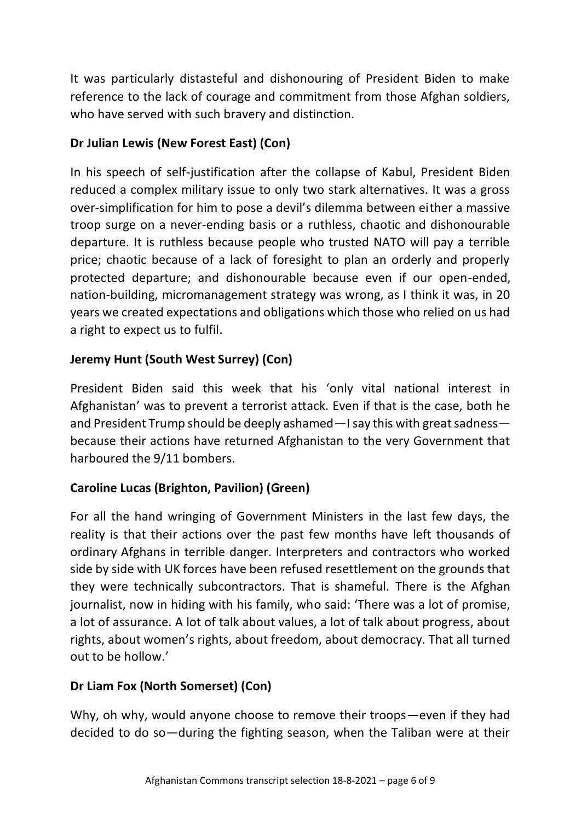It was particularly distasteful and dishonouring of President Biden to make reference to the lack of courage and commitment from those Afghan soldiers, who have served with such bravery and distinction.

## **Dr Julian Lewis (New Forest East) (Con)**

In his speech of self-justification after the collapse of Kabul, President Biden reduced a complex military issue to only two stark alternatives. It was a gross over-simplification for him to pose a devil's dilemma between either a massive troop surge on a never-ending basis or a ruthless, chaotic and dishonourable departure. It is ruthless because people who trusted NATO will pay a terrible price; chaotic because of a lack of foresight to plan an orderly and properly protected departure; and dishonourable because even if our open-ended, nation-building, micromanagement strategy was wrong, as I think it was, in 20 years we created expectations and obligations which those who relied on us had a right to expect us to fulfil.

# **Jeremy Hunt (South West Surrey) (Con)**

President Biden said this week that his 'only vital national interest in Afghanistan' was to prevent a terrorist attack. Even if that is the case, both he and President Trump should be deeply ashamed—I say this with great sadness because their actions have returned Afghanistan to the very Government that harboured the 9/11 bombers.

### **Caroline Lucas (Brighton, Pavilion) (Green)**

For all the hand wringing of Government Ministers in the last few days, the reality is that their actions over the past few months have left thousands of ordinary Afghans in terrible danger. Interpreters and contractors who worked side by side with UK forces have been refused resettlement on the grounds that they were technically subcontractors. That is shameful. There is the Afghan journalist, now in hiding with his family, who said: 'There was a lot of promise, a lot of assurance. A lot of talk about values, a lot of talk about progress, about rights, about women's rights, about freedom, about democracy. That all turned out to be hollow.'

### **Dr Liam Fox (North Somerset) (Con)**

Why, oh why, would anyone choose to remove their troops—even if they had decided to do so—during the fighting season, when the Taliban were at their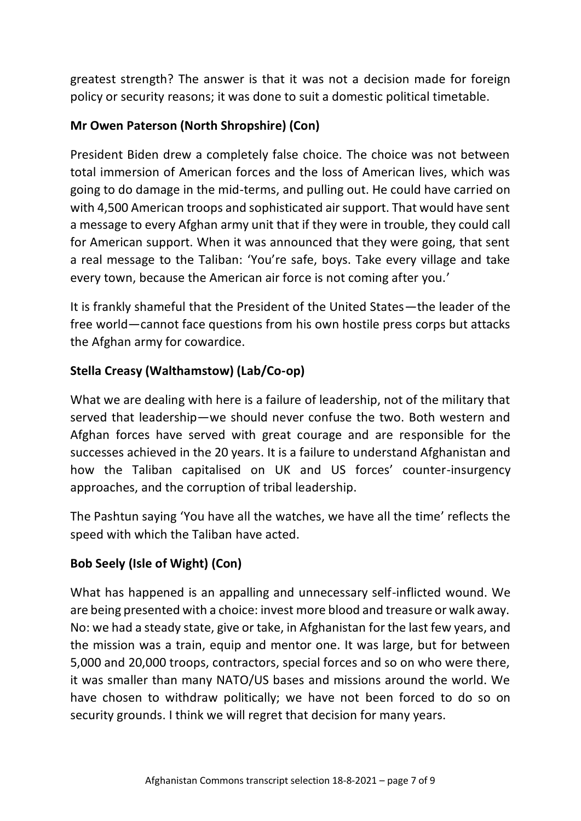greatest strength? The answer is that it was not a decision made for foreign policy or security reasons; it was done to suit a domestic political timetable.

### **Mr Owen Paterson (North Shropshire) (Con)**

President Biden drew a completely false choice. The choice was not between total immersion of American forces and the loss of American lives, which was going to do damage in the mid-terms, and pulling out. He could have carried on with 4,500 American troops and sophisticated air support. That would have sent a message to every Afghan army unit that if they were in trouble, they could call for American support. When it was announced that they were going, that sent a real message to the Taliban: 'You're safe, boys. Take every village and take every town, because the American air force is not coming after you.'

It is frankly shameful that the President of the United States—the leader of the free world—cannot face questions from his own hostile press corps but attacks the Afghan army for cowardice.

### **Stella Creasy (Walthamstow) (Lab/Co-op)**

What we are dealing with here is a failure of leadership, not of the military that served that leadership—we should never confuse the two. Both western and Afghan forces have served with great courage and are responsible for the successes achieved in the 20 years. It is a failure to understand Afghanistan and how the Taliban capitalised on UK and US forces' counter-insurgency approaches, and the corruption of tribal leadership.

The Pashtun saying 'You have all the watches, we have all the time' reflects the speed with which the Taliban have acted.

# **Bob Seely (Isle of Wight) (Con)**

What has happened is an appalling and unnecessary self-inflicted wound. We are being presented with a choice: invest more blood and treasure or walk away. No: we had a steady state, give or take, in Afghanistan for the last few years, and the mission was a train, equip and mentor one. It was large, but for between 5,000 and 20,000 troops, contractors, special forces and so on who were there, it was smaller than many NATO/US bases and missions around the world. We have chosen to withdraw politically; we have not been forced to do so on security grounds. I think we will regret that decision for many years.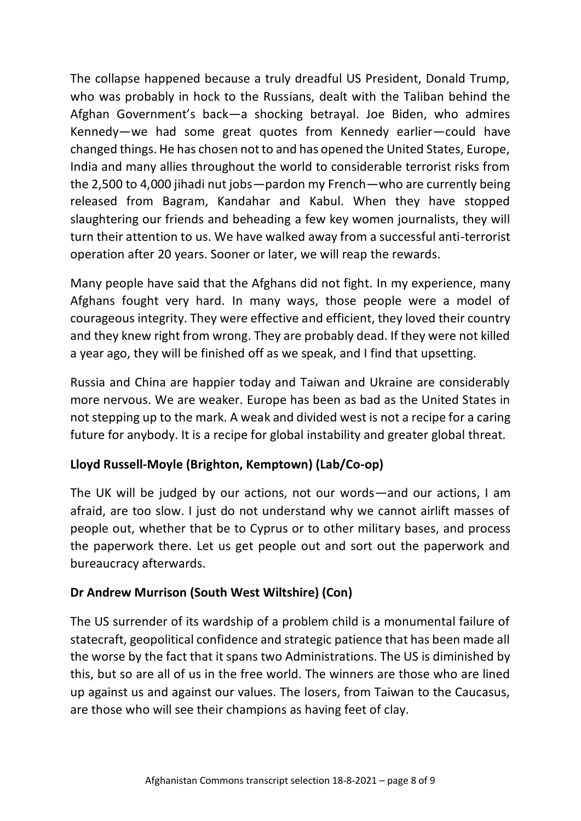The collapse happened because a truly dreadful US President, Donald Trump, who was probably in hock to the Russians, dealt with the Taliban behind the Afghan Government's back—a shocking betrayal. Joe Biden, who admires Kennedy—we had some great quotes from Kennedy earlier—could have changed things. He has chosen not to and has opened the United States, Europe, India and many allies throughout the world to considerable terrorist risks from the 2,500 to 4,000 jihadi nut jobs—pardon my French—who are currently being released from Bagram, Kandahar and Kabul. When they have stopped slaughtering our friends and beheading a few key women journalists, they will turn their attention to us. We have walked away from a successful anti-terrorist operation after 20 years. Sooner or later, we will reap the rewards.

Many people have said that the Afghans did not fight. In my experience, many Afghans fought very hard. In many ways, those people were a model of courageous integrity. They were effective and efficient, they loved their country and they knew right from wrong. They are probably dead. If they were not killed a year ago, they will be finished off as we speak, and I find that upsetting.

Russia and China are happier today and Taiwan and Ukraine are considerably more nervous. We are weaker. Europe has been as bad as the United States in not stepping up to the mark. A weak and divided west is not a recipe for a caring future for anybody. It is a recipe for global instability and greater global threat.

### **Lloyd Russell-Moyle (Brighton, Kemptown) (Lab/Co-op)**

The UK will be judged by our actions, not our words—and our actions, I am afraid, are too slow. I just do not understand why we cannot airlift masses of people out, whether that be to Cyprus or to other military bases, and process the paperwork there. Let us get people out and sort out the paperwork and bureaucracy afterwards.

### **Dr Andrew Murrison (South West Wiltshire) (Con)**

The US surrender of its wardship of a problem child is a monumental failure of statecraft, geopolitical confidence and strategic patience that has been made all the worse by the fact that it spans two Administrations. The US is diminished by this, but so are all of us in the free world. The winners are those who are lined up against us and against our values. The losers, from Taiwan to the Caucasus, are those who will see their champions as having feet of clay.